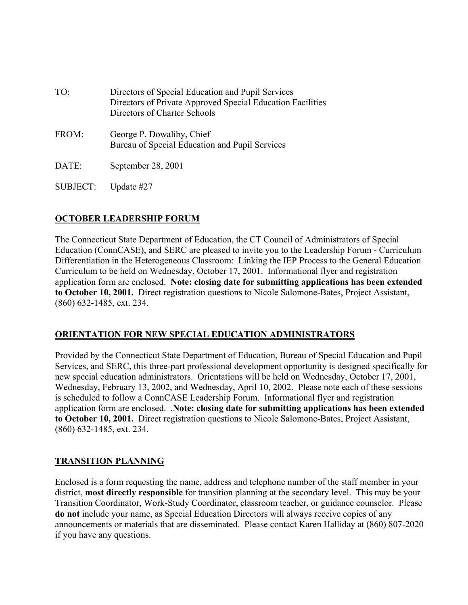| TO:   | Directors of Special Education and Pupil Services<br>Directors of Private Approved Special Education Facilities<br>Directors of Charter Schools |
|-------|-------------------------------------------------------------------------------------------------------------------------------------------------|
| FROM: | George P. Dowaliby, Chief<br>Bureau of Special Education and Pupil Services                                                                     |
| DATE: | September 28, 2001                                                                                                                              |

SUBJECT: Update #27

# **OCTOBER LEADERSHIP FORUM**

The Connecticut State Department of Education, the CT Council of Administrators of Special Education (ConnCASE), and SERC are pleased to invite you to the Leadership Forum - Curriculum Differentiation in the Heterogeneous Classroom: Linking the IEP Process to the General Education Curriculum to be held on Wednesday, October 17, 2001. Informational flyer and registration application form are enclosed. **Note: closing date for submitting applications has been extended to October 10, 2001.** Direct registration questions to Nicole Salomone-Bates, Project Assistant, (860) 632-1485, ext. 234.

## **ORIENTATION FOR NEW SPECIAL EDUCATION ADMINISTRATORS**

Provided by the Connecticut State Department of Education, Bureau of Special Education and Pupil Services, and SERC, this three-part professional development opportunity is designed specifically for new special education administrators. Orientations will be held on Wednesday, October 17, 2001, Wednesday, February 13, 2002, and Wednesday, April 10, 2002. Please note each of these sessions is scheduled to follow a ConnCASE Leadership Forum. Informational flyer and registration application form are enclosed. .**Note: closing date for submitting applications has been extended to October 10, 2001.** Direct registration questions to Nicole Salomone-Bates, Project Assistant, (860) 632-1485, ext. 234.

## **TRANSITION PLANNING**

Enclosed is a form requesting the name, address and telephone number of the staff member in your district, **most directly responsible** for transition planning at the secondary level. This may be your Transition Coordinator, Work-Study Coordinator, classroom teacher, or guidance counselor. Please **do not** include your name, as Special Education Directors will always receive copies of any announcements or materials that are disseminated. Please contact Karen Halliday at (860) 807-2020 if you have any questions.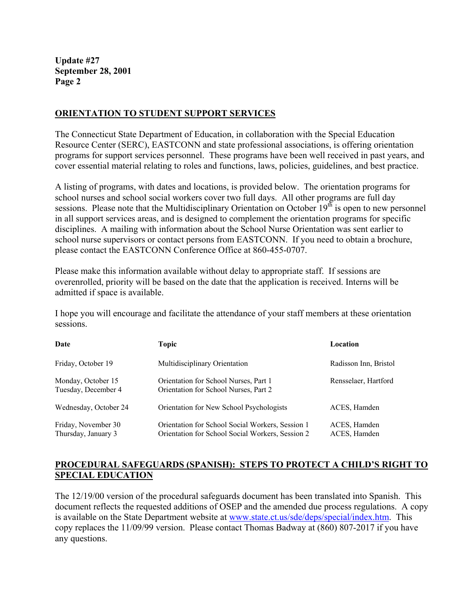#### **ORIENTATION TO STUDENT SUPPORT SERVICES**

The Connecticut State Department of Education, in collaboration with the Special Education Resource Center (SERC), EASTCONN and state professional associations, is offering orientation programs for support services personnel. These programs have been well received in past years, and cover essential material relating to roles and functions, laws, policies, guidelines, and best practice.

A listing of programs, with dates and locations, is provided below. The orientation programs for school nurses and school social workers cover two full days. All other programs are full day sessions. Please note that the Multidisciplinary Orientation on October 19<sup>th</sup> is open to new personnel in all support services areas, and is designed to complement the orientation programs for specific disciplines. A mailing with information about the School Nurse Orientation was sent earlier to school nurse supervisors or contact persons from EASTCONN. If you need to obtain a brochure, please contact the EASTCONN Conference Office at 860-455-0707.

Please make this information available without delay to appropriate staff. If sessions are overenrolled, priority will be based on the date that the application is received. Interns will be admitted if space is available.

I hope you will encourage and facilitate the attendance of your staff members at these orientation sessions.

| Date                                       | Topic                                                                                                | Location                     |
|--------------------------------------------|------------------------------------------------------------------------------------------------------|------------------------------|
| Friday, October 19                         | Multidisciplinary Orientation                                                                        | Radisson Inn, Bristol        |
| Monday, October 15<br>Tuesday, December 4  | Orientation for School Nurses, Part 1<br>Orientation for School Nurses, Part 2                       | Rensselaer, Hartford         |
| Wednesday, October 24                      | Orientation for New School Psychologists                                                             | ACES, Hamden                 |
| Friday, November 30<br>Thursday, January 3 | Orientation for School Social Workers, Session 1<br>Orientation for School Social Workers, Session 2 | ACES, Hamden<br>ACES, Hamden |

## **PROCEDURAL SAFEGUARDS (SPANISH): STEPS TO PROTECT A CHILD'S RIGHT TO SPECIAL EDUCATION**

The 12/19/00 version of the procedural safeguards document has been translated into Spanish. This document reflects the requested additions of OSEP and the amended due process regulations. A copy is available on the State Department website at www.state.ct.us/sde/deps/special/index.htm. This copy replaces the 11/09/99 version. Please contact Thomas Badway at (860) 807-2017 if you have any questions.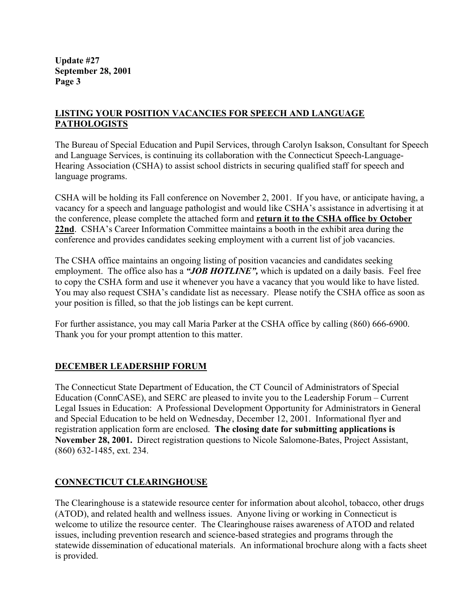## **LISTING YOUR POSITION VACANCIES FOR SPEECH AND LANGUAGE PATHOLOGISTS**

The Bureau of Special Education and Pupil Services, through Carolyn Isakson, Consultant for Speech and Language Services, is continuing its collaboration with the Connecticut Speech-Language-Hearing Association (CSHA) to assist school districts in securing qualified staff for speech and language programs.

CSHA will be holding its Fall conference on November 2, 2001. If you have, or anticipate having, a vacancy for a speech and language pathologist and would like CSHA's assistance in advertising it at the conference, please complete the attached form and **return it to the CSHA office by October 22nd**. CSHA's Career Information Committee maintains a booth in the exhibit area during the conference and provides candidates seeking employment with a current list of job vacancies.

The CSHA office maintains an ongoing listing of position vacancies and candidates seeking employment. The office also has a "JOB HOTLINE", which is updated on a daily basis. Feel free to copy the CSHA form and use it whenever you have a vacancy that you would like to have listed. You may also request CSHA's candidate list as necessary. Please notify the CSHA office as soon as your position is filled, so that the job listings can be kept current.

For further assistance, you may call Maria Parker at the CSHA office by calling (860) 666-6900. Thank you for your prompt attention to this matter.

# **DECEMBER LEADERSHIP FORUM**

The Connecticut State Department of Education, the CT Council of Administrators of Special Education (ConnCASE), and SERC are pleased to invite you to the Leadership Forum – Current Legal Issues in Education: A Professional Development Opportunity for Administrators in General and Special Education to be held on Wednesday, December 12, 2001. Informational flyer and registration application form are enclosed. **The closing date for submitting applications is November 28, 2001.** Direct registration questions to Nicole Salomone-Bates, Project Assistant, (860) 632-1485, ext. 234.

# **CONNECTICUT CLEARINGHOUSE**

The Clearinghouse is a statewide resource center for information about alcohol, tobacco, other drugs (ATOD), and related health and wellness issues. Anyone living or working in Connecticut is welcome to utilize the resource center. The Clearinghouse raises awareness of ATOD and related issues, including prevention research and science-based strategies and programs through the statewide dissemination of educational materials. An informational brochure along with a facts sheet is provided.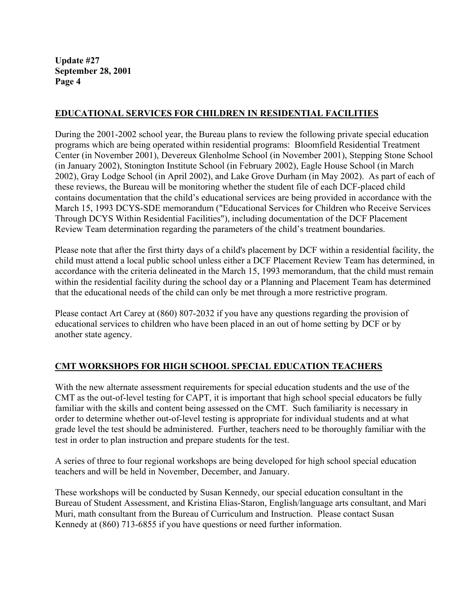## **EDUCATIONAL SERVICES FOR CHILDREN IN RESIDENTIAL FACILITIES**

During the 2001-2002 school year, the Bureau plans to review the following private special education programs which are being operated within residential programs: Bloomfield Residential Treatment Center (in November 2001), Devereux Glenholme School (in November 2001), Stepping Stone School (in January 2002), Stonington Institute School (in February 2002), Eagle House School (in March 2002), Gray Lodge School (in April 2002), and Lake Grove Durham (in May 2002). As part of each of these reviews, the Bureau will be monitoring whether the student file of each DCF-placed child contains documentation that the child's educational services are being provided in accordance with the March 15, 1993 DCYS-SDE memorandum ("Educational Services for Children who Receive Services Through DCYS Within Residential Facilities"), including documentation of the DCF Placement Review Team determination regarding the parameters of the child's treatment boundaries.

Please note that after the first thirty days of a child's placement by DCF within a residential facility, the child must attend a local public school unless either a DCF Placement Review Team has determined, in accordance with the criteria delineated in the March 15, 1993 memorandum, that the child must remain within the residential facility during the school day or a Planning and Placement Team has determined that the educational needs of the child can only be met through a more restrictive program.

Please contact Art Carey at (860) 807-2032 if you have any questions regarding the provision of educational services to children who have been placed in an out of home setting by DCF or by another state agency.

## **CMT WORKSHOPS FOR HIGH SCHOOL SPECIAL EDUCATION TEACHERS**

With the new alternate assessment requirements for special education students and the use of the CMT as the out-of-level testing for CAPT, it is important that high school special educators be fully familiar with the skills and content being assessed on the CMT. Such familiarity is necessary in order to determine whether out-of-level testing is appropriate for individual students and at what grade level the test should be administered. Further, teachers need to be thoroughly familiar with the test in order to plan instruction and prepare students for the test.

A series of three to four regional workshops are being developed for high school special education teachers and will be held in November, December, and January.

These workshops will be conducted by Susan Kennedy, our special education consultant in the Bureau of Student Assessment, and Kristina Elias-Staron, English/language arts consultant, and Mari Muri, math consultant from the Bureau of Curriculum and Instruction. Please contact Susan Kennedy at (860) 713-6855 if you have questions or need further information.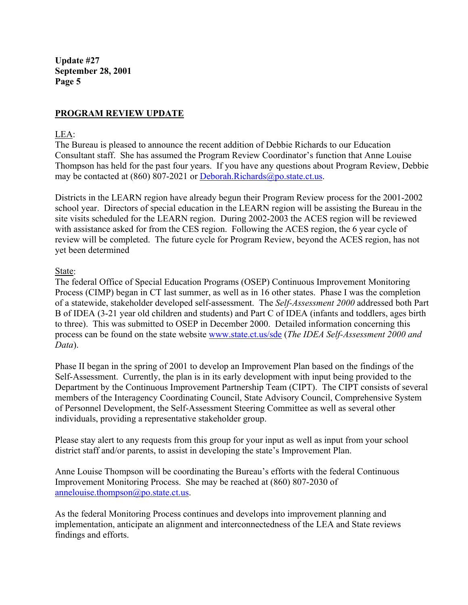# **PROGRAM REVIEW UPDATE**

#### LEA:

The Bureau is pleased to announce the recent addition of Debbie Richards to our Education Consultant staff. She has assumed the Program Review Coordinator's function that Anne Louise Thompson has held for the past four years. If you have any questions about Program Review, Debbie may be contacted at (860) 807-2021 or Deborah.Richards@po.state.ct.us.

Districts in the LEARN region have already begun their Program Review process for the 2001-2002 school year. Directors of special education in the LEARN region will be assisting the Bureau in the site visits scheduled for the LEARN region. During 2002-2003 the ACES region will be reviewed with assistance asked for from the CES region. Following the ACES region, the 6 year cycle of review will be completed. The future cycle for Program Review, beyond the ACES region, has not yet been determined

#### State:

The federal Office of Special Education Programs (OSEP) Continuous Improvement Monitoring Process (CIMP) began in CT last summer, as well as in 16 other states. Phase I was the completion of a statewide, stakeholder developed self-assessment. The *Self-Assessment 2000* addressed both Part B of IDEA (3-21 year old children and students) and Part C of IDEA (infants and toddlers, ages birth to three). This was submitted to OSEP in December 2000. Detailed information concerning this process can be found on the state website www.state.ct.us/sde (*The IDEA Self-Assessment 2000 and Data*).

Phase II began in the spring of 2001 to develop an Improvement Plan based on the findings of the Self-Assessment. Currently, the plan is in its early development with input being provided to the Department by the Continuous Improvement Partnership Team (CIPT). The CIPT consists of several members of the Interagency Coordinating Council, State Advisory Council, Comprehensive System of Personnel Development, the Self-Assessment Steering Committee as well as several other individuals, providing a representative stakeholder group.

Please stay alert to any requests from this group for your input as well as input from your school district staff and/or parents, to assist in developing the state's Improvement Plan.

Anne Louise Thompson will be coordinating the Bureau's efforts with the federal Continuous Improvement Monitoring Process. She may be reached at (860) 807-2030 of annelouise.thompson@po.state.ct.us.

As the federal Monitoring Process continues and develops into improvement planning and implementation, anticipate an alignment and interconnectedness of the LEA and State reviews findings and efforts.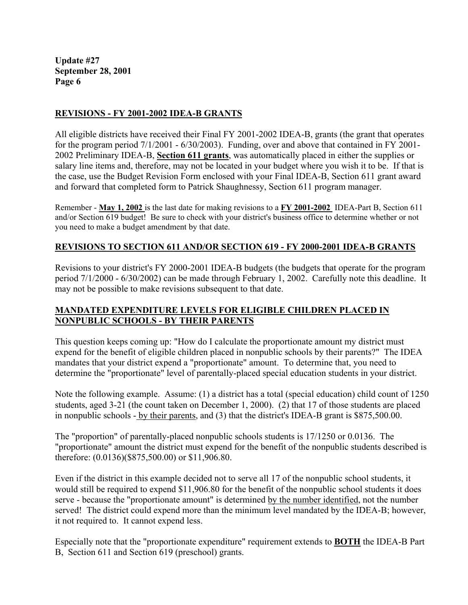## **REVISIONS - FY 2001-2002 IDEA-B GRANTS**

All eligible districts have received their Final FY 2001-2002 IDEA-B, grants (the grant that operates for the program period 7/1/2001 - 6/30/2003). Funding, over and above that contained in FY 2001- 2002 Preliminary IDEA-B, **Section 611 grants**, was automatically placed in either the supplies or salary line items and, therefore, may not be located in your budget where you wish it to be. If that is the case, use the Budget Revision Form enclosed with your Final IDEA-B, Section 611 grant award and forward that completed form to Patrick Shaughnessy, Section 611 program manager.

Remember - **May 1, 2002** is the last date for making revisions to a **FY 2001-2002** IDEA-Part B, Section 611 and/or Section 619 budget! Be sure to check with your district's business office to determine whether or not you need to make a budget amendment by that date.

#### **REVISIONS TO SECTION 611 AND/OR SECTION 619 - FY 2000-2001 IDEA-B GRANTS**

Revisions to your district's FY 2000-2001 IDEA-B budgets (the budgets that operate for the program period 7/1/2000 - 6/30/2002) can be made through February 1, 2002. Carefully note this deadline. It may not be possible to make revisions subsequent to that date.

## **MANDATED EXPENDITURE LEVELS FOR ELIGIBLE CHILDREN PLACED IN NONPUBLIC SCHOOLS - BY THEIR PARENTS**

This question keeps coming up: "How do I calculate the proportionate amount my district must expend for the benefit of eligible children placed in nonpublic schools by their parents?" The IDEA mandates that your district expend a "proportionate" amount. To determine that, you need to determine the "proportionate" level of parentally-placed special education students in your district.

Note the following example. Assume: (1) a district has a total (special education) child count of 1250 students, aged 3-21 (the count taken on December 1, 2000). (2) that 17 of those students are placed in nonpublic schools - by their parents, and (3) that the district's IDEA-B grant is \$875,500.00.

The "proportion" of parentally-placed nonpublic schools students is 17/1250 or 0.0136. The "proportionate" amount the district must expend for the benefit of the nonpublic students described is therefore: (0.0136)(\$875,500.00) or \$11,906.80.

Even if the district in this example decided not to serve all 17 of the nonpublic school students, it would still be required to expend \$11,906.80 for the benefit of the nonpublic school students it does serve - because the "proportionate amount" is determined by the number identified, not the number served! The district could expend more than the minimum level mandated by the IDEA-B; however, it not required to. It cannot expend less.

Especially note that the "proportionate expenditure" requirement extends to **BOTH** the IDEA-B Part B, Section 611 and Section 619 (preschool) grants.